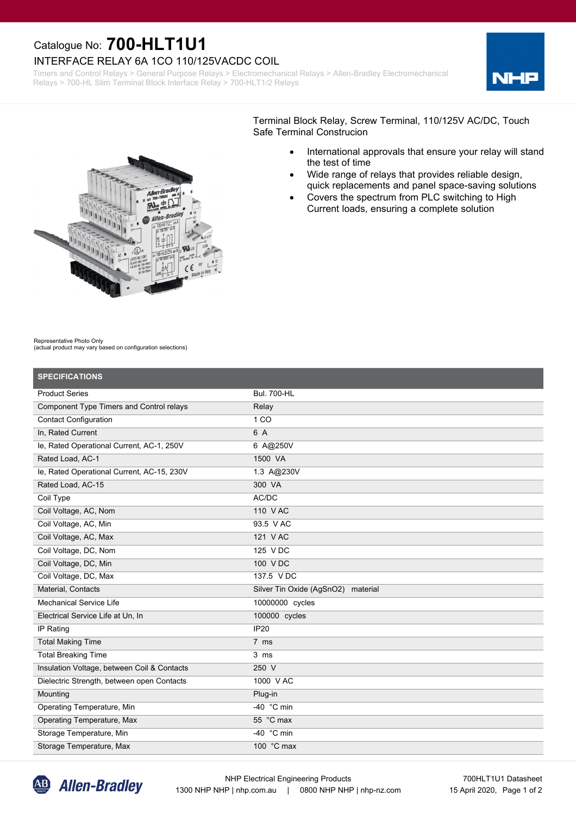## Catalogue No: **700-HLT1U1**

## INTERFACE RELAY 6A 1CO 110/125VACDC COIL

Timers and Control Relays > General Purpose Relays > Electromechanical Relays > Allen-Bradley Electromechanical Relays > 700-HL Slim Terminal Block Interface Relay > 700-HLT1/2 Relays





Terminal Block Relay, Screw Terminal, 110/125V AC/DC, Touch Safe Terminal Construcion

- · International approvals that ensure your relay will stand the test of time
- · Wide range of relays that provides reliable design, quick replacements and panel space-saving solutions
- Covers the spectrum from PLC switching to High Current loads, ensuring a complete solution

Representative Photo Only

(actual product may vary based on configuration selections)

| <b>SPECIFICATIONS</b>                       |                                    |
|---------------------------------------------|------------------------------------|
| <b>Product Series</b>                       | <b>Bul. 700-HL</b>                 |
| Component Type Timers and Control relays    | Relay                              |
| <b>Contact Configuration</b>                | 1 <sub>CO</sub>                    |
| In, Rated Current                           | 6 A                                |
| le, Rated Operational Current, AC-1, 250V   | 6 A@250V                           |
| Rated Load, AC-1                            | 1500 VA                            |
| le, Rated Operational Current, AC-15, 230V  | 1.3 A@230V                         |
| Rated Load, AC-15                           | 300 VA                             |
| Coil Type                                   | AC/DC                              |
| Coil Voltage, AC, Nom                       | 110 V AC                           |
| Coil Voltage, AC, Min                       | 93.5 V AC                          |
| Coil Voltage, AC, Max                       | 121 V AC                           |
| Coil Voltage, DC, Nom                       | 125 V DC                           |
| Coil Voltage, DC, Min                       | 100 VDC                            |
| Coil Voltage, DC, Max                       | 137.5 V DC                         |
| Material, Contacts                          | Silver Tin Oxide (AgSnO2) material |
| <b>Mechanical Service Life</b>              | 10000000 cycles                    |
| Electrical Service Life at Un, In           | 100000 cycles                      |
| IP Rating                                   | <b>IP20</b>                        |
| <b>Total Making Time</b>                    | 7 ms                               |
| <b>Total Breaking Time</b>                  | $3 \text{ ms}$                     |
| Insulation Voltage, between Coil & Contacts | $250$ V                            |
| Dielectric Strength, between open Contacts  | 1000 V AC                          |
| Mounting                                    | Plug-in                            |
| Operating Temperature, Min                  | -40 $\degree$ C min                |
| Operating Temperature, Max                  | 55 °C max                          |
| Storage Temperature, Min                    | -40 $\degree$ C min                |
| Storage Temperature, Max                    | 100 °C max                         |